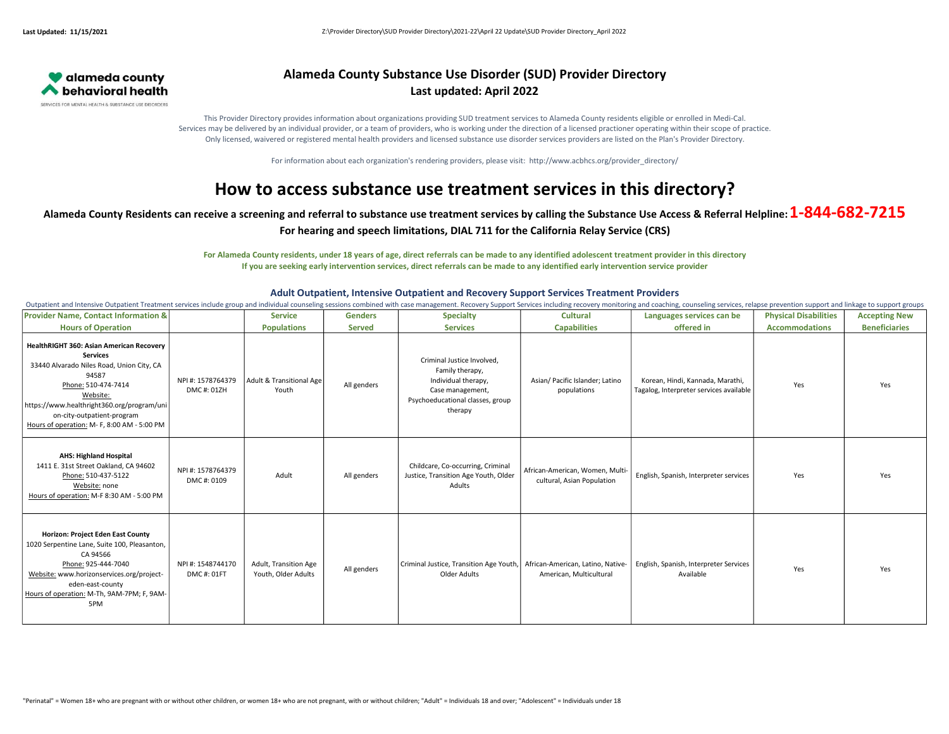

### Alameda County Substance Use Disorder (SUD) Provider Directory Last updated: April 2022

This Provider Directory provides information about organizations providing SUD treatment services to Alameda County residents eligible or enrolled in Medi-Cal. Services may be delivered by an individual provider, or a team of providers, who is working under the direction of a licensed practioner operating within their scope of practice. Only licensed, waivered or registered mental health providers and licensed substance use disorder services providers are listed on the Plan's Provider Directory.

For information about each organization's rendering providers, please visit: http://www.acbhcs.org/provider\_directory/

# How to access substance use treatment services in this directory?

## Alameda County Residents can receive a screening and referral to substance use treatment services by calling the Substance Use Access & Referral Helpline:  $1-844-682-7215$

#### For hearing and speech limitations, DIAL 711 for the California Relay Service (CRS)

For Alameda County residents, under 18 years of age, direct referrals can be made to any identified adolescent treatment provider in this directory If you are seeking early intervention services, direct referrals can be made to any identified early intervention service provider

| <b>Provider Name, Contact Information &amp;</b>                                                                                                                                                                                                                                 |                                 | <b>Service</b>                               | <b>Genders</b> | <b>Specialty</b>                                                                                                                        | <b>Cultural</b>                                               | Languages services can be                                                   | <b>Physical Disabilities</b> | <b>Accepting New</b> |
|---------------------------------------------------------------------------------------------------------------------------------------------------------------------------------------------------------------------------------------------------------------------------------|---------------------------------|----------------------------------------------|----------------|-----------------------------------------------------------------------------------------------------------------------------------------|---------------------------------------------------------------|-----------------------------------------------------------------------------|------------------------------|----------------------|
| <b>Hours of Operation</b>                                                                                                                                                                                                                                                       |                                 | <b>Populations</b>                           | <b>Served</b>  | <b>Services</b>                                                                                                                         | <b>Capabilities</b>                                           | offered in                                                                  | <b>Accommodations</b>        | <b>Beneficiaries</b> |
| HealthRIGHT 360: Asian American Recovery<br><b>Services</b><br>33440 Alvarado Niles Road, Union City, CA<br>94587<br>Phone: 510-474-7414<br>Website:<br>https://www.healthright360.org/program/uni<br>on-city-outpatient-program<br>Hours of operation: M- F, 8:00 AM - 5:00 PM | NPI #: 1578764379<br>DMC#: 01ZH | Adult & Transitional Age<br>Youth            | All genders    | Criminal Justice Involved.<br>Family therapy,<br>Individual therapy,<br>Case management,<br>Psychoeducational classes, group<br>therapy | Asian/ Pacific Islander; Latino<br>populations                | Korean, Hindi, Kannada, Marathi,<br>Tagalog, Interpreter services available | Yes                          | Yes                  |
| <b>AHS: Highland Hospital</b><br>1411 E. 31st Street Oakland, CA 94602<br>Phone: 510-437-5122<br>Website: none<br>Hours of operation: M-F 8:30 AM - 5:00 PM                                                                                                                     | NPI #: 1578764379<br>DMC#: 0109 | Adult                                        | All genders    | Childcare, Co-occurring, Criminal<br>Justice, Transition Age Youth, Older<br>Adults                                                     | African-American, Women, Multi-<br>cultural, Asian Population | English, Spanish, Interpreter services                                      | Yes                          | Yes                  |
| Horizon: Project Eden East County<br>1020 Serpentine Lane, Suite 100, Pleasanton,<br>CA 94566<br>Phone: 925-444-7040<br>Website: www.horizonservices.org/project-<br>eden-east-county<br>Hours of operation: M-Th, 9AM-7PM; F, 9AM-<br>5PM                                      | NPI #: 1548744170<br>DMC#: 01FT | Adult, Transition Age<br>Youth, Older Adults | All genders    | Criminal Justice, Transition Age Youth,<br>Older Adults                                                                                 | African-American, Latino, Native-<br>American, Multicultural  | English, Spanish, Interpreter Services<br>Available                         | Yes                          | Yes                  |

#### Adult Outpatient, Intensive Outpatient and Recovery Support Services Treatment Providers Outpatient and Intensive Outpatient Treatment services include group and individual counseling sessions combined with case management. Recovery Support Services including recovery monitoring and coaching, counseling servic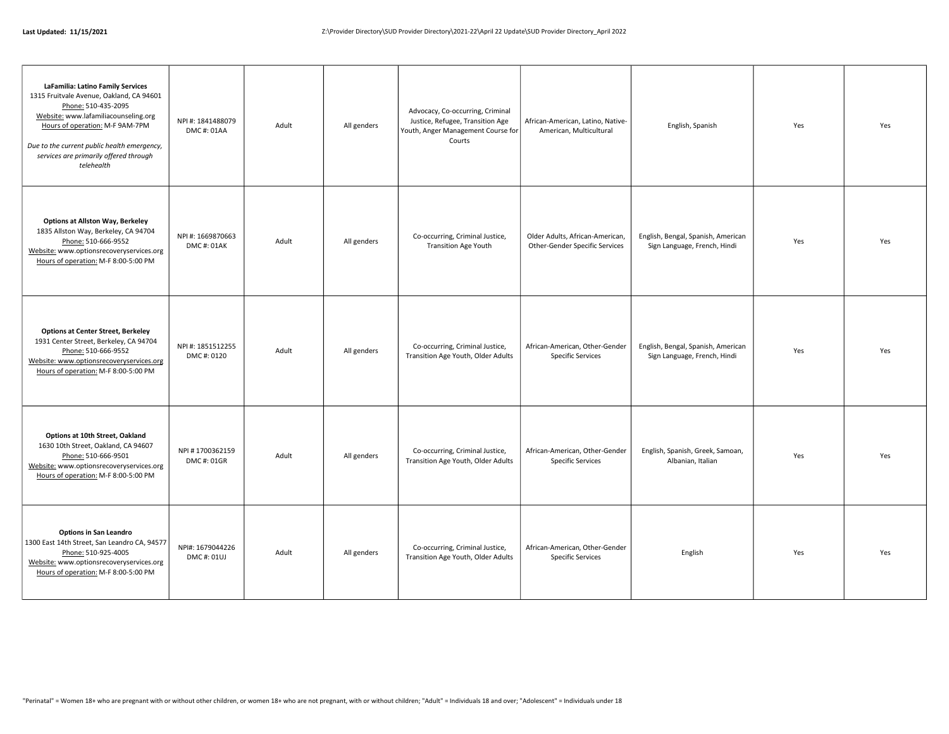| LaFamilia: Latino Family Services<br>1315 Fruitvale Avenue, Oakland, CA 94601<br>Phone: 510-435-2095<br>Website: www.lafamiliacounseling.org<br>Hours of operation: M-F 9AM-7PM<br>Due to the current public health emergency,<br>services are primarily offered through<br>telehealth | NPI #: 1841488079<br>DMC#: 01AA | Adult | All genders | Advocacy, Co-occurring, Criminal<br>Justice, Refugee, Transition Age<br>Youth, Anger Management Course for<br>Courts | African-American, Latino, Native-<br>American, Multicultural      | English, Spanish                                                   | Yes | Yes |
|----------------------------------------------------------------------------------------------------------------------------------------------------------------------------------------------------------------------------------------------------------------------------------------|---------------------------------|-------|-------------|----------------------------------------------------------------------------------------------------------------------|-------------------------------------------------------------------|--------------------------------------------------------------------|-----|-----|
| <b>Options at Allston Way, Berkeley</b><br>1835 Allston Way, Berkeley, CA 94704<br>Phone: 510-666-9552<br>Website: www.optionsrecoveryservices.org<br>Hours of operation: M-F 8:00-5:00 PM                                                                                             | NPI #: 1669870663<br>DMC#: 01AK | Adult | All genders | Co-occurring, Criminal Justice,<br><b>Transition Age Youth</b>                                                       | Older Adults, African-American,<br>Other-Gender Specific Services | English, Bengal, Spanish, American<br>Sign Language, French, Hindi | Yes | Yes |
| <b>Options at Center Street, Berkeley</b><br>1931 Center Street, Berkeley, CA 94704<br>Phone: 510-666-9552<br>Website: www.optionsrecoveryservices.org<br>Hours of operation: M-F 8:00-5:00 PM                                                                                         | NPI #: 1851512255<br>DMC#: 0120 | Adult | All genders | Co-occurring, Criminal Justice,<br>Transition Age Youth, Older Adults                                                | African-American, Other-Gender<br><b>Specific Services</b>        | English, Bengal, Spanish, American<br>Sign Language, French, Hindi | Yes | Yes |
| Options at 10th Street, Oakland<br>1630 10th Street, Oakland, CA 94607<br>Phone: 510-666-9501<br>Website: www.optionsrecoveryservices.org<br>Hours of operation: M-F 8:00-5:00 PM                                                                                                      | NPI #1700362159<br>DMC#: 01GR   | Adult | All genders | Co-occurring, Criminal Justice,<br>Transition Age Youth, Older Adults                                                | African-American, Other-Gender<br><b>Specific Services</b>        | English, Spanish, Greek, Samoan,<br>Albanian, Italian              | Yes | Yes |
| <b>Options in San Leandro</b><br>1300 East 14th Street, San Leandro CA, 94577<br>Phone: 510-925-4005<br>Website: www.optionsrecoveryservices.org<br>Hours of operation: M-F 8:00-5:00 PM                                                                                               | NPI#: 1679044226<br>DMC#: 01UJ  | Adult | All genders | Co-occurring, Criminal Justice,<br>Transition Age Youth, Older Adults                                                | African-American, Other-Gender<br><b>Specific Services</b>        | English                                                            | Yes | Yes |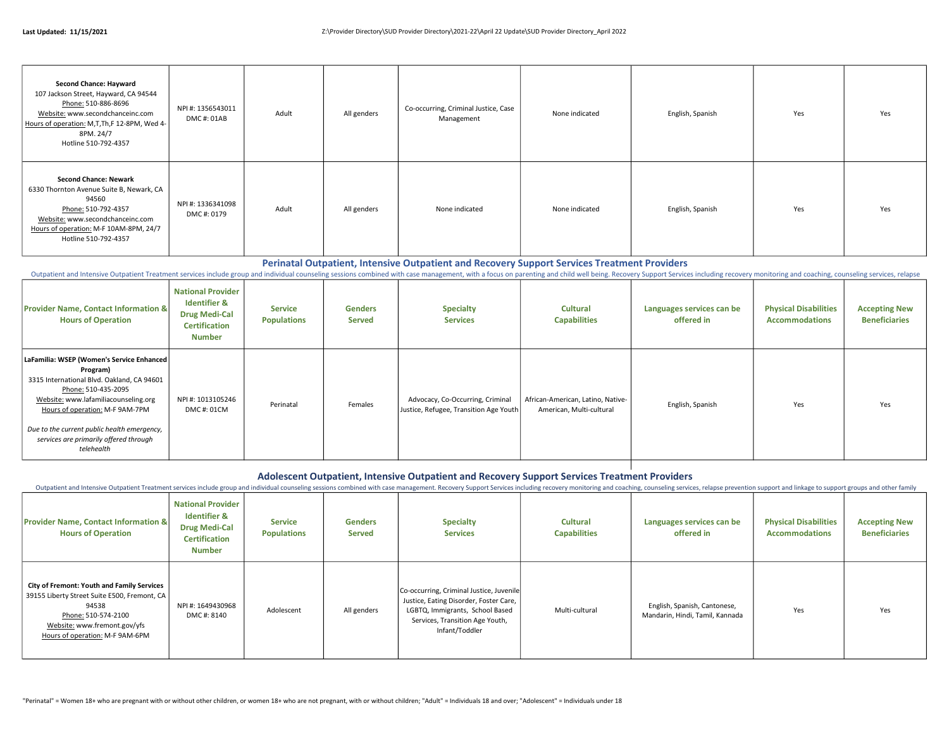| <b>Second Chance: Hayward</b><br>107 Jackson Street, Hayward, CA 94544<br>Phone: 510-886-8696<br>Website: www.secondchanceinc.com<br>Hours of operation: M,T,Th,F 12-8PM, Wed 4-<br>8PM. 24/7                                          | NPI #: 1356543011<br>DMC #: 01AB | Adult | All genders | Co-occurring, Criminal Justice, Case<br>Management | None indicated | English, Spanish | Yes | Yes |
|----------------------------------------------------------------------------------------------------------------------------------------------------------------------------------------------------------------------------------------|----------------------------------|-------|-------------|----------------------------------------------------|----------------|------------------|-----|-----|
| Hotline 510-792-4357<br><b>Second Chance: Newark</b><br>6330 Thornton Avenue Suite B, Newark, CA<br>94560<br>Phone: 510-792-4357<br>Website: www.secondchanceinc.com<br>Hours of operation: M-F 10AM-8PM, 24/7<br>Hotline 510-792-4357 | NPI #: 1336341098<br>DMC#: 0179  | Adult | All genders | None indicated                                     | None indicated | English, Spanish | Yes | Yes |

#### Perinatal Outpatient, Intensive Outpatient and Recovery Support Services Treatment Providers

Outpatient and Intensive Outpatient Treatment services include group and individual counseling sessions combined with case management, with a focus on parenting and child well being. Recovery Support Services including rec

| <b>Provider Name, Contact Information &amp;</b><br><b>Hours of Operation</b>                                                                                                                                                                                                                                   | <b>National Provider</b><br><b>Identifier &amp;</b><br><b>Drug Medi-Cal</b><br><b>Certification</b><br><b>Number</b> | Service<br><b>Populations</b> | <b>Genders</b><br><b>Served</b> | <b>Specialty</b><br><b>Services</b>                                        | <b>Cultural</b><br><b>Capabilities</b>                        | Languages services can be<br>offered in | <b>Physical Disabilities</b><br><b>Accommodations</b> | <b>Accepting New</b><br><b>Beneficiaries</b> |
|----------------------------------------------------------------------------------------------------------------------------------------------------------------------------------------------------------------------------------------------------------------------------------------------------------------|----------------------------------------------------------------------------------------------------------------------|-------------------------------|---------------------------------|----------------------------------------------------------------------------|---------------------------------------------------------------|-----------------------------------------|-------------------------------------------------------|----------------------------------------------|
| LaFamilia: WSEP (Women's Service Enhanced  <br>Program)<br>3315 International Blvd. Oakland, CA 94601<br>Phone: 510-435-2095<br>Website: www.lafamiliacounseling.org<br>Hours of operation: M-F 9AM-7PM<br>Due to the current public health emergency,<br>services are primarily offered through<br>telehealth | NPI#: 1013105246<br>DMC#: 01CM                                                                                       | Perinatal                     | Females                         | Advocacy, Co-Occurring, Criminal<br>Justice, Refugee, Transition Age Youth | African-American, Latino, Native-<br>American, Multi-cultural | English, Spanish                        | Yes                                                   | Yes                                          |

#### Adolescent Outpatient, Intensive Outpatient and Recovery Support Services Treatment Providers

Outpatient and Intensive Outpatient Treatment services include group and individual counseling sessions combined with case management. Recovery Support Services including recovery monitoring and coaching, counseling servic

| <b>Provider Name, Contact Information &amp;</b><br><b>Hours of Operation</b>                                                                                                                         | <b>National Provider</b><br><b>Identifier &amp;</b><br><b>Drug Medi-Cal</b><br><b>Certification</b><br><b>Number</b> | <b>Service</b><br><b>Populations</b> | <b>Genders</b><br><b>Served</b> | <b>Specialty</b><br><b>Services</b>                                                                                                                                        | <b>Cultural</b><br><b>Capabilities</b> | Languages services can be<br>offered in                         | <b>Physical Disabilities</b><br><b>Accommodations</b> | <b>Accepting New</b><br><b>Beneficiaries</b> |
|------------------------------------------------------------------------------------------------------------------------------------------------------------------------------------------------------|----------------------------------------------------------------------------------------------------------------------|--------------------------------------|---------------------------------|----------------------------------------------------------------------------------------------------------------------------------------------------------------------------|----------------------------------------|-----------------------------------------------------------------|-------------------------------------------------------|----------------------------------------------|
| <b>City of Fremont: Youth and Family Services</b><br>39155 Liberty Street Suite E500, Fremont, CA<br>94538<br>Phone: 510-574-2100<br>Website: www.fremont.gov/yfs<br>Hours of operation: M-F 9AM-6PM | NPI #: 1649430968<br>DMC #: 8140                                                                                     | Adolescent                           | All genders                     | Co-occurring, Criminal Justice, Juvenile<br>Justice, Eating Disorder, Foster Care,<br>LGBTQ, Immigrants, School Based<br>Services, Transition Age Youth,<br>Infant/Toddler | Multi-cultural                         | English, Spanish, Cantonese,<br>Mandarin, Hindi, Tamil, Kannada | Yes                                                   | Yes                                          |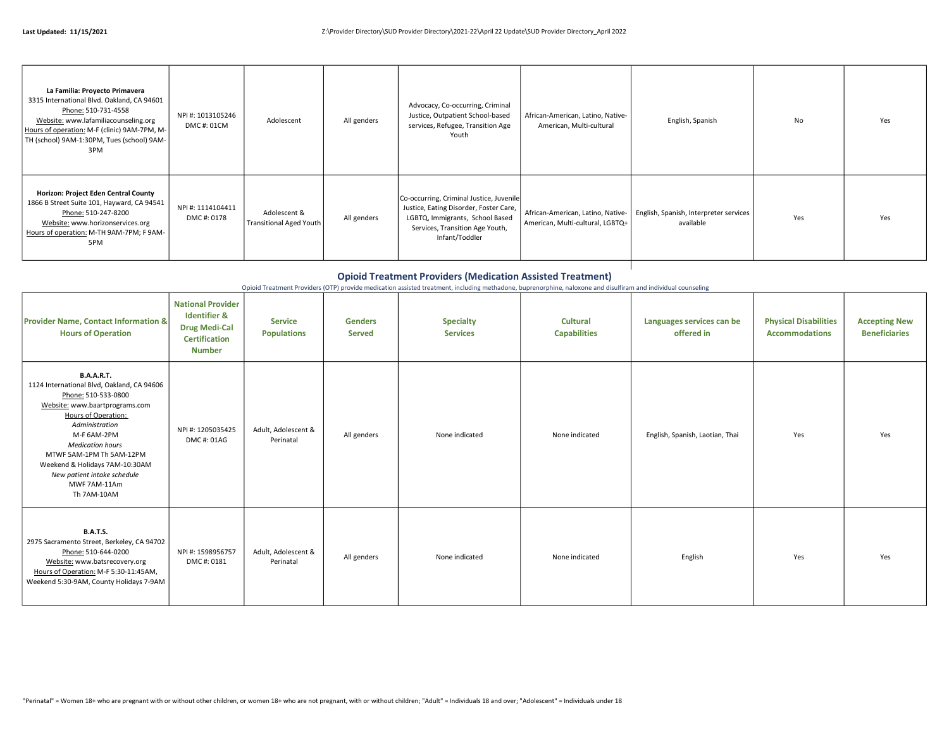| La Familia: Proyecto Primavera<br>3315 International Blvd. Oakland, CA 94601<br>Phone: 510-731-4558<br>Website: www.lafamiliacounseling.org<br>Hours of operation: M-F (clinic) 9AM-7PM, M-<br>TH (school) 9AM-1:30PM, Tues (school) 9AM-<br>3PM | NPI #: 1013105246<br>DMC#: 01CM | Adolescent                                     | All genders | Advocacy, Co-occurring, Criminal<br>Justice, Outpatient School-based<br>services, Refugee, Transition Age<br>Youth                                                         | African-American, Latino, Native-<br>American, Multi-cultural         | English, Spanish                                    | No  | Yes |
|--------------------------------------------------------------------------------------------------------------------------------------------------------------------------------------------------------------------------------------------------|---------------------------------|------------------------------------------------|-------------|----------------------------------------------------------------------------------------------------------------------------------------------------------------------------|-----------------------------------------------------------------------|-----------------------------------------------------|-----|-----|
| Horizon: Project Eden Central County<br>1866 B Street Suite 101, Hayward, CA 94541<br>Phone: 510-247-8200<br>Website: www.horizonservices.org<br>Hours of operation: M-TH 9AM-7PM; F 9AM-<br>5PM                                                 | NPI#: 1114104411<br>DMC#: 0178  | Adolescent &<br><b>Transitional Aged Youth</b> | All genders | Co-occurring, Criminal Justice, Juvenile<br>Justice, Eating Disorder, Foster Care,<br>LGBTQ, Immigrants, School Based<br>Services, Transition Age Youth,<br>Infant/Toddler | African-American, Latino, Native-<br>American, Multi-cultural, LGBTQ+ | English, Spanish, Interpreter services<br>available | Yes | Yes |

#### Opioid Treatment Providers (Medication Assisted Treatment)

Opioid Treatment Providers (OTP) provide medication assisted treatment, including methadone, buprenorphine, naloxone and disulfiram and individual counseling

| <b>Provider Name, Contact Information &amp;</b><br><b>Hours of Operation</b>                                                                                                                                                                                                                                                            | <b>National Provider</b><br><b>Identifier &amp;</b><br><b>Drug Medi-Cal</b><br><b>Certification</b><br><b>Number</b> | <b>Service</b><br><b>Populations</b> | <b>Genders</b><br><b>Served</b> | <b>Specialty</b><br><b>Services</b> | <b>Cultural</b><br><b>Capabilities</b> | Languages services can be<br>offered in | <b>Physical Disabilities</b><br><b>Accommodations</b> | <b>Accepting New</b><br><b>Beneficiaries</b> |
|-----------------------------------------------------------------------------------------------------------------------------------------------------------------------------------------------------------------------------------------------------------------------------------------------------------------------------------------|----------------------------------------------------------------------------------------------------------------------|--------------------------------------|---------------------------------|-------------------------------------|----------------------------------------|-----------------------------------------|-------------------------------------------------------|----------------------------------------------|
| <b>B.A.A.R.T.</b><br>1124 International Blvd, Oakland, CA 94606<br>Phone: 510-533-0800<br>Website: www.baartprograms.com<br>Hours of Operation:<br>Administration<br>M-F 6AM-2PM<br><b>Medication hours</b><br>MTWF 5AM-1PM Th 5AM-12PM<br>Weekend & Holidays 7AM-10:30AM<br>New patient intake schedule<br>MWF 7AM-11Am<br>Th 7AM-10AM | NPI #: 1205035425<br>DMC#: 01AG                                                                                      | Adult, Adolescent &<br>Perinatal     | All genders                     | None indicated                      | None indicated                         | English, Spanish, Laotian, Thai         | Yes                                                   | Yes                                          |
| <b>B.A.T.S.</b><br>2975 Sacramento Street, Berkeley, CA 94702<br>Phone: 510-644-0200<br>Website: www.batsrecovery.org<br>Hours of Operation: M-F 5:30-11:45AM,<br>Weekend 5:30-9AM, County Holidays 7-9AM                                                                                                                               | NPI #: 1598956757<br>DMC#: 0181                                                                                      | Adult, Adolescent &<br>Perinatal     | All genders                     | None indicated                      | None indicated                         | English                                 | Yes                                                   | Yes                                          |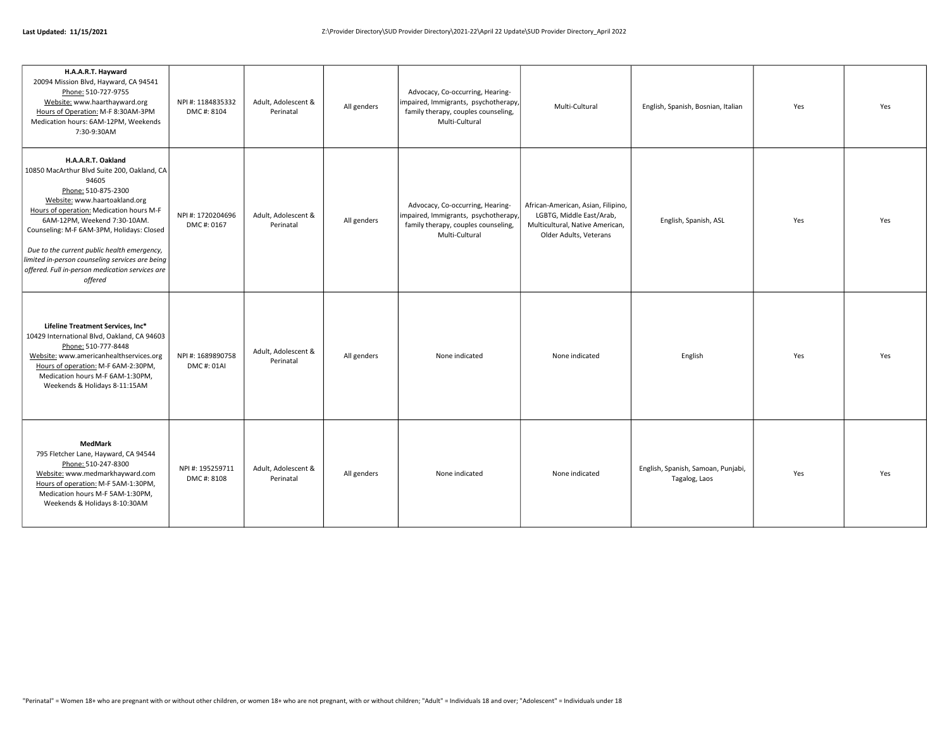| H.A.A.R.T. Hayward<br>20094 Mission Blvd, Hayward, CA 94541<br>Phone: 510-727-9755<br>Website: www.haarthayward.org<br>Hours of Operation: M-F 8:30AM-3PM<br>Medication hours: 6AM-12PM, Weekends<br>7:30-9:30AM                                                                                                                                                                                                            | NPI #: 1184835332<br>DMC#: 8104 | Adult, Adolescent &<br>Perinatal | All genders | Advocacy, Co-occurring, Hearing-<br>impaired, Immigrants, psychotherapy<br>family therapy, couples counseling,<br>Multi-Cultural | Multi-Cultural                                                                                                              | English, Spanish, Bosnian, Italian                  | Yes | Yes |
|-----------------------------------------------------------------------------------------------------------------------------------------------------------------------------------------------------------------------------------------------------------------------------------------------------------------------------------------------------------------------------------------------------------------------------|---------------------------------|----------------------------------|-------------|----------------------------------------------------------------------------------------------------------------------------------|-----------------------------------------------------------------------------------------------------------------------------|-----------------------------------------------------|-----|-----|
| H.A.A.R.T. Oakland<br>10850 MacArthur Blvd Suite 200, Oakland, CA<br>94605<br>Phone: 510-875-2300<br>Website: www.haartoakland.org<br>Hours of operation: Medication hours M-F<br>6AM-12PM, Weekend 7:30-10AM.<br>Counseling: M-F 6AM-3PM, Holidays: Closed<br>Due to the current public health emergency,<br>limited in-person counseling services are being<br>offered. Full in-person medication services are<br>offered | NPI #: 1720204696<br>DMC#: 0167 | Adult, Adolescent &<br>Perinatal | All genders | Advocacy, Co-occurring, Hearing-<br>impaired, Immigrants, psychotherapy<br>family therapy, couples counseling,<br>Multi-Cultural | African-American, Asian, Filipino,<br>LGBTG, Middle East/Arab,<br>Multicultural, Native American,<br>Older Adults, Veterans | English, Spanish, ASL                               | Yes | Yes |
| Lifeline Treatment Services, Inc*<br>10429 International Blvd, Oakland, CA 94603<br>Phone: 510-777-8448<br>Website: www.americanhealthservices.org<br>Hours of operation: M-F 6AM-2:30PM,<br>Medication hours M-F 6AM-1:30PM,<br>Weekends & Holidays 8-11:15AM                                                                                                                                                              | NPI#: 1689890758<br>DMC#: 01AI  | Adult, Adolescent &<br>Perinatal | All genders | None indicated                                                                                                                   | None indicated                                                                                                              | English                                             | Yes | Yes |
| MedMark<br>795 Fletcher Lane, Hayward, CA 94544<br>Phone: 510-247-8300<br>Website: www.medmarkhayward.com<br>Hours of operation: M-F 5AM-1:30PM,<br>Medication hours M-F 5AM-1:30PM,<br>Weekends & Holidays 8-10:30AM                                                                                                                                                                                                       | NPI #: 195259711<br>DMC#: 8108  | Adult, Adolescent &<br>Perinatal | All genders | None indicated                                                                                                                   | None indicated                                                                                                              | English, Spanish, Samoan, Punjabi,<br>Tagalog, Laos | Yes | Yes |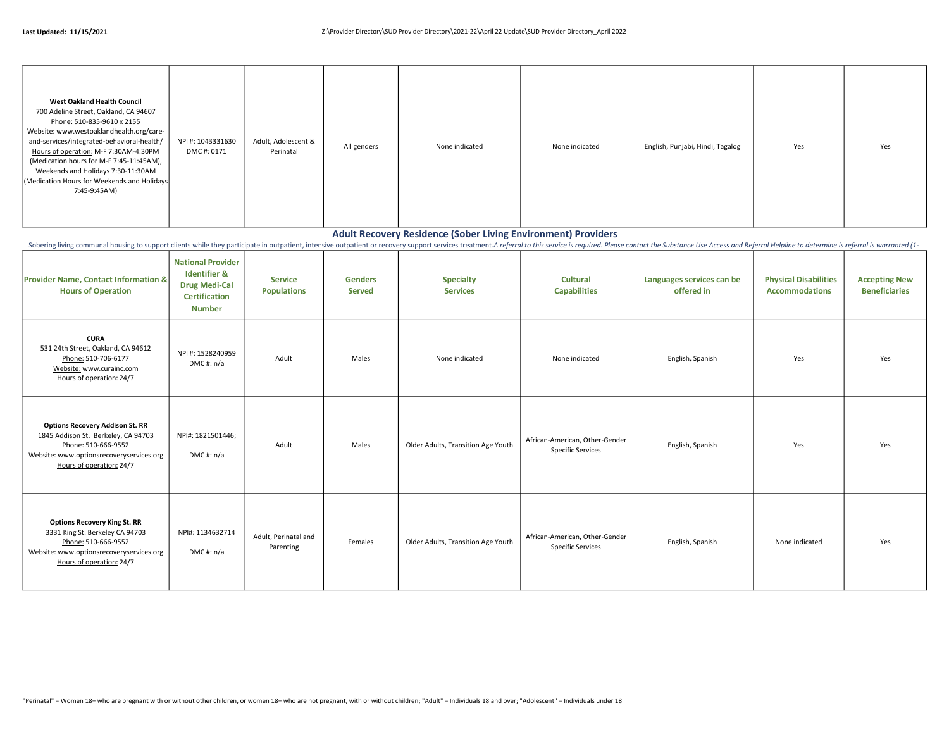| <b>West Oakland Health Council</b><br>700 Adeline Street, Oakland, CA 94607<br>Phone: 510-835-9610 x 2155<br>Website: www.westoaklandhealth.org/care-<br>and-services/integrated-behavioral-health/<br>Hours of operation: M-F 7:30AM-4:30PM<br>(Medication hours for M-F 7:45-11:45AM),<br>Weekends and Holidays 7:30-11:30AM<br>(Medication Hours for Weekends and Holidays)<br>7:45-9:45AM) | NPI #: 1043331630<br>DMC#: 0171 | Adult, Adolescent &<br>Perinatal | All genders | None indicated | None indicated | English, Punjabi, Hindi, Tagalog | Yes | Yes |
|------------------------------------------------------------------------------------------------------------------------------------------------------------------------------------------------------------------------------------------------------------------------------------------------------------------------------------------------------------------------------------------------|---------------------------------|----------------------------------|-------------|----------------|----------------|----------------------------------|-----|-----|
|                                                                                                                                                                                                                                                                                                                                                                                                |                                 |                                  |             |                |                |                                  |     |     |

#### Adult Recovery Residence (Sober Living Environment) Providers

Sobering living communal housing to support clients while they participate in outpatient, intensive outpatient or recovery support services treatment.A referral to this service is required. Please contact the Substance Use

| <b>Provider Name, Contact Information &amp;</b><br><b>Hours of Operation</b>                                                                                                 | <b>National Provider</b><br><b>Identifier &amp;</b><br><b>Drug Medi-Cal</b><br><b>Certification</b><br><b>Number</b> | <b>Service</b><br><b>Populations</b> | <b>Genders</b><br><b>Served</b> | <b>Specialty</b><br><b>Services</b> | <b>Cultural</b><br><b>Capabilities</b>                     | Languages services can be<br>offered in | <b>Physical Disabilities</b><br><b>Accommodations</b> | <b>Accepting New</b><br><b>Beneficiaries</b> |
|------------------------------------------------------------------------------------------------------------------------------------------------------------------------------|----------------------------------------------------------------------------------------------------------------------|--------------------------------------|---------------------------------|-------------------------------------|------------------------------------------------------------|-----------------------------------------|-------------------------------------------------------|----------------------------------------------|
| <b>CURA</b><br>531 24th Street, Oakland, CA 94612<br>Phone: 510-706-6177<br>Website: www.curainc.com<br>Hours of operation: 24/7                                             | NPI #: 1528240959<br>DMC#: n/a                                                                                       | Adult                                | Males                           | None indicated                      | None indicated                                             | English, Spanish                        | Yes                                                   | Yes                                          |
| <b>Options Recovery Addison St. RR</b><br>1845 Addison St. Berkeley, CA 94703<br>Phone: 510-666-9552<br>Website: www.optionsrecoveryservices.org<br>Hours of operation: 24/7 | NPI#: 1821501446;<br>DMC#: n/a                                                                                       | Adult                                | Males                           | Older Adults, Transition Age Youth  | African-American, Other-Gender<br><b>Specific Services</b> | English, Spanish                        | Yes                                                   | Yes                                          |
| <b>Options Recovery King St. RR</b><br>3331 King St. Berkeley CA 94703<br>Phone: 510-666-9552<br>Website: www.optionsrecoveryservices.org<br>Hours of operation: 24/7        | NPI#: 1134632714<br>DMC#: n/a                                                                                        | Adult, Perinatal and<br>Parenting    | Females                         | Older Adults, Transition Age Youth  | African-American, Other-Gender<br><b>Specific Services</b> | English, Spanish                        | None indicated                                        | Yes                                          |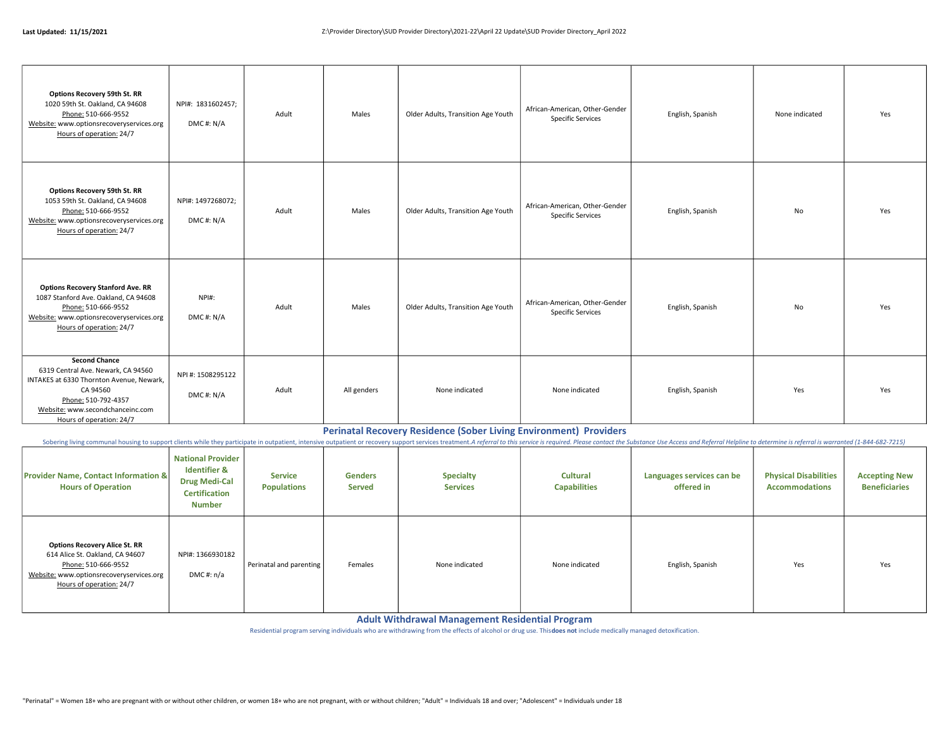| <b>Options Recovery 59th St. RR</b><br>1020 59th St. Oakland, CA 94608<br>Phone: 510-666-9552<br>Website: www.optionsrecoveryservices.org<br>Hours of operation: 24/7                                     | NPI#: 1831602457;<br>DMC#: N/A | Adult | Males       | Older Adults, Transition Age Youth | African-American, Other-Gender<br><b>Specific Services</b> | English, Spanish | None indicated | Yes |
|-----------------------------------------------------------------------------------------------------------------------------------------------------------------------------------------------------------|--------------------------------|-------|-------------|------------------------------------|------------------------------------------------------------|------------------|----------------|-----|
| <b>Options Recovery 59th St. RR</b><br>1053 59th St. Oakland, CA 94608<br>Phone: 510-666-9552<br>Website: www.optionsrecoveryservices.org<br>Hours of operation: 24/7                                     | NPI#: 1497268072;<br>DMC#: N/A | Adult | Males       | Older Adults, Transition Age Youth | African-American, Other-Gender<br><b>Specific Services</b> | English, Spanish | No             | Yes |
| <b>Options Recovery Stanford Ave. RR</b><br>1087 Stanford Ave. Oakland, CA 94608<br>Phone: 510-666-9552<br>Website: www.optionsrecoveryservices.org<br>Hours of operation: 24/7                           | NPI#:<br>DMC#: N/A             | Adult | Males       | Older Adults, Transition Age Youth | African-American, Other-Gender<br><b>Specific Services</b> | English, Spanish | No             | Yes |
| <b>Second Chance</b><br>6319 Central Ave. Newark, CA 94560<br>INTAKES at 6330 Thornton Avenue, Newark,<br>CA 94560<br>Phone: 510-792-4357<br>Website: www.secondchanceinc.com<br>Hours of operation: 24/7 | NPI #: 1508295122<br>DMC#: N/A | Adult | All genders | None indicated                     | None indicated                                             | English, Spanish | Yes            | Yes |

#### Perinatal Recovery Residence (Sober Living Environment) Providers

Sobering living communal housing to support clients while they participate in outpatient, intensive outpatient, or recovery support services treatment. A referral to this service is required. Please contact the Substance U

| <b>Provider Name, Contact Information &amp;</b><br><b>Hours of Operation</b>                                                                                           | <b>National Provider</b><br><b>Identifier &amp;</b><br><b>Drug Medi-Cal</b><br><b>Certification</b><br>Number | <b>Service</b><br><b>Populations</b> | <b>Genders</b><br><b>Served</b> | Specialty<br><b>Services</b> | <b>Cultural</b><br><b>Capabilities</b> | Languages services can be<br>offered in | <b>Physical Disabilities</b><br><b>Accommodations</b> | <b>Accepting New</b><br><b>Beneficiaries</b> |
|------------------------------------------------------------------------------------------------------------------------------------------------------------------------|---------------------------------------------------------------------------------------------------------------|--------------------------------------|---------------------------------|------------------------------|----------------------------------------|-----------------------------------------|-------------------------------------------------------|----------------------------------------------|
| <b>Options Recovery Alice St. RR</b><br>614 Alice St. Oakland, CA 94607<br>Phone: 510-666-9552<br>Website: www.optionsrecoveryservices.org<br>Hours of operation: 24/7 | NPI#: 1366930182<br>DMC#: n/a                                                                                 | Perinatal and parenting              | Females                         | None indicated               | None indicated                         | English, Spanish                        | Yes                                                   | Yes                                          |

Adult Withdrawal Management Residential Program

Residential program serving individuals who are withdrawing from the effects of alcohol or drug use. This does not include medically managed detoxification.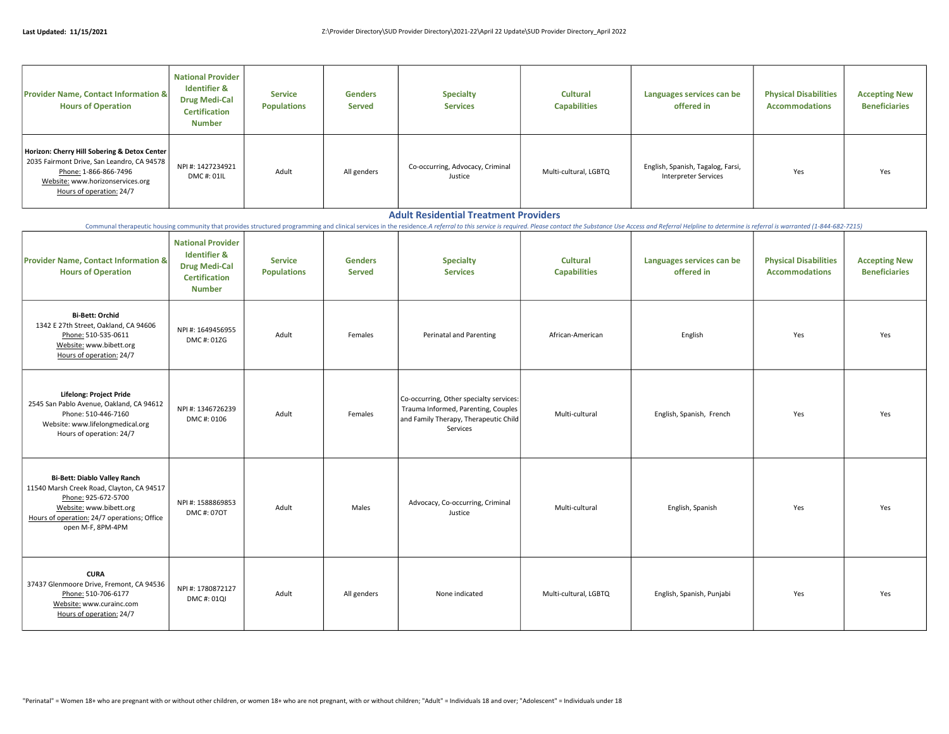| <b>Provider Name, Contact Information &amp;</b><br><b>Hours of Operation</b>                                                                                                        | <b>National Provider</b><br><b>Identifier &amp;</b><br><b>Drug Medi-Cal</b><br><b>Certification</b><br><b>Number</b> | <b>Service</b><br><b>Populations</b> | <b>Genders</b><br><b>Served</b> | <b>Specialty</b><br><b>Services</b>         | <b>Cultural</b><br><b>Capabilities</b> | Languages services can be<br>offered in                   | <b>Physical Disabilities</b><br><b>Accommodations</b> | <b>Accepting New</b><br><b>Beneficiaries</b> |
|-------------------------------------------------------------------------------------------------------------------------------------------------------------------------------------|----------------------------------------------------------------------------------------------------------------------|--------------------------------------|---------------------------------|---------------------------------------------|----------------------------------------|-----------------------------------------------------------|-------------------------------------------------------|----------------------------------------------|
| Horizon: Cherry Hill Sobering & Detox Center<br>2035 Fairmont Drive, San Leandro, CA 94578<br>Phone: 1-866-866-7496<br>Website: www.horizonservices.org<br>Hours of operation: 24/7 | NPI#: 1427234921<br>DMC#: 01IL                                                                                       | Adult                                | All genders                     | Co-occurring, Advocacy, Criminal<br>Justice | Multi-cultural, LGBTQ                  | English, Spanish, Tagalog, Farsi,<br>Interpreter Services | Yes                                                   | Yes                                          |

#### Adult Residential Treatment Providers

Communal therapeutic housing community that provides structured programming and clinical services in the residence. A referral to this service is required. Please contact the Substance Use Access and Referral Helpline to d

| <b>Provider Name, Contact Information &amp;</b><br><b>Hours of Operation</b>                                                                                                                           | <b>National Provider</b><br><b>Identifier &amp;</b><br><b>Drug Medi-Cal</b><br><b>Certification</b><br><b>Number</b> | <b>Service</b><br><b>Populations</b> | <b>Genders</b><br><b>Served</b> | <b>Specialty</b><br><b>Services</b>                                                                                                 | <b>Cultural</b><br><b>Capabilities</b> | Languages services can be<br>offered in | <b>Physical Disabilities</b><br><b>Accommodations</b> | <b>Accepting New</b><br><b>Beneficiaries</b> |
|--------------------------------------------------------------------------------------------------------------------------------------------------------------------------------------------------------|----------------------------------------------------------------------------------------------------------------------|--------------------------------------|---------------------------------|-------------------------------------------------------------------------------------------------------------------------------------|----------------------------------------|-----------------------------------------|-------------------------------------------------------|----------------------------------------------|
| <b>Bi-Bett: Orchid</b><br>1342 E 27th Street, Oakland, CA 94606<br>Phone: 510-535-0611<br>Website: www.bibett.org<br>Hours of operation: 24/7                                                          | NPI #: 1649456955<br>DMC#: 01ZG                                                                                      | Adult                                | Females                         | Perinatal and Parenting                                                                                                             | African-American                       | English                                 | Yes                                                   | Yes                                          |
| Lifelong: Project Pride<br>2545 San Pablo Avenue, Oakland, CA 94612<br>Phone: 510-446-7160<br>Website: www.lifelongmedical.org<br>Hours of operation: 24/7                                             | NPI #: 1346726239<br>DMC#: 0106                                                                                      | Adult                                | Females                         | Co-occurring, Other specialty services:<br>Trauma Informed, Parenting, Couples<br>and Family Therapy, Therapeutic Child<br>Services | Multi-cultural                         | English, Spanish, French                | Yes                                                   | Yes                                          |
| <b>Bi-Bett: Diablo Valley Ranch</b><br>11540 Marsh Creek Road, Clayton, CA 94517<br>Phone: 925-672-5700<br>Website: www.bibett.org<br>Hours of operation: 24/7 operations; Office<br>open M-F, 8PM-4PM | NPI #: 1588869853<br>DMC#: 07OT                                                                                      | Adult                                | Males                           | Advocacy, Co-occurring, Criminal<br>Justice                                                                                         | Multi-cultural                         | English, Spanish                        | Yes                                                   | Yes                                          |
| <b>CURA</b><br>37437 Glenmoore Drive, Fremont, CA 94536<br>Phone: 510-706-6177<br>Website: www.curainc.com<br>Hours of operation: 24/7                                                                 | NPI #: 1780872127<br>DMC#: 01QI                                                                                      | Adult                                | All genders                     | None indicated                                                                                                                      | Multi-cultural, LGBTQ                  | English, Spanish, Punjabi               | Yes                                                   | Yes                                          |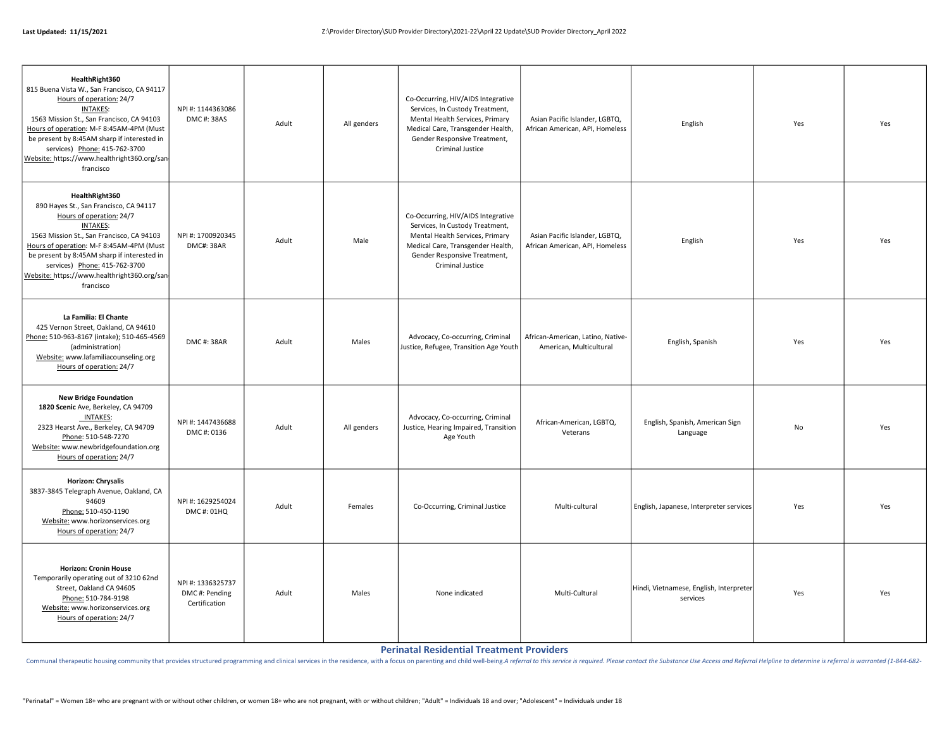| HealthRight360<br>815 Buena Vista W., San Francisco, CA 94117<br>Hours of operation: 24/7<br><b>INTAKES:</b><br>1563 Mission St., San Francisco, CA 94103<br>Hours of operation: M-F 8:45AM-4PM (Must<br>be present by 8:45AM sharp if interested in<br>services) Phone: 415-762-3700<br>Website: https://www.healthright360.org/san<br>francisco | NPI #: 1144363086<br>DMC#: 38AS                     | Adult | All genders | Co-Occurring, HIV/AIDS Integrative<br>Services, In Custody Treatment,<br>Mental Health Services, Primary<br>Medical Care, Transgender Health,<br>Gender Responsive Treatment,<br>Criminal Justice | Asian Pacific Islander, LGBTQ,<br>African American, API, Homeless | English                                             | Yes       | Yes |
|---------------------------------------------------------------------------------------------------------------------------------------------------------------------------------------------------------------------------------------------------------------------------------------------------------------------------------------------------|-----------------------------------------------------|-------|-------------|---------------------------------------------------------------------------------------------------------------------------------------------------------------------------------------------------|-------------------------------------------------------------------|-----------------------------------------------------|-----------|-----|
| HealthRight360<br>890 Hayes St., San Francisco, CA 94117<br>Hours of operation: 24/7<br><b>INTAKES:</b><br>1563 Mission St., San Francisco, CA 94103<br>Hours of operation: M-F 8:45AM-4PM (Must<br>be present by 8:45AM sharp if interested in<br>services) Phone: 415-762-3700<br>Website: https://www.healthright360.org/san<br>francisco      | NPI #: 1700920345<br><b>DMC#: 38AR</b>              | Adult | Male        | Co-Occurring, HIV/AIDS Integrative<br>Services, In Custody Treatment,<br>Mental Health Services, Primary<br>Medical Care, Transgender Health,<br>Gender Responsive Treatment,<br>Criminal Justice | Asian Pacific Islander, LGBTQ,<br>African American, API, Homeless | English                                             | Yes       | Yes |
| La Familia: El Chante<br>425 Vernon Street, Oakland, CA 94610<br>Phone: 510-963-8167 (intake); 510-465-4569<br>(administration)<br>Website: www.lafamiliacounseling.org<br>Hours of operation: 24/7                                                                                                                                               | DMC#: 38AR                                          | Adult | Males       | Advocacy, Co-occurring, Criminal<br>Justice, Refugee, Transition Age Youth                                                                                                                        | African-American, Latino, Native-<br>American, Multicultural      | English, Spanish                                    | Yes       | Yes |
| <b>New Bridge Foundation</b><br>1820 Scenic Ave, Berkeley, CA 94709<br><b>INTAKES:</b><br>2323 Hearst Ave., Berkeley, CA 94709<br>Phone: 510-548-7270<br>Website: www.newbridgefoundation.org<br>Hours of operation: 24/7                                                                                                                         | NPI #: 1447436688<br>DMC#: 0136                     | Adult | All genders | Advocacy, Co-occurring, Criminal<br>Justice, Hearing Impaired, Transition<br>Age Youth                                                                                                            | African-American, LGBTQ,<br>Veterans                              | English, Spanish, American Sign<br>Language         | <b>No</b> | Yes |
| Horizon: Chrysalis<br>3837-3845 Telegraph Avenue, Oakland, CA<br>94609<br>Phone: 510-450-1190<br>Website: www.horizonservices.org<br>Hours of operation: 24/7                                                                                                                                                                                     | NPI #: 1629254024<br>DMC#: 01HQ                     | Adult | Females     | Co-Occurring, Criminal Justice                                                                                                                                                                    | Multi-cultural                                                    | English, Japanese, Interpreter services             | Yes       | Yes |
| <b>Horizon: Cronin House</b><br>Temporarily operating out of 3210 62nd<br>Street, Oakland CA 94605<br>Phone: 510-784-9198<br>Website: www.horizonservices.org<br>Hours of operation: 24/7                                                                                                                                                         | NPI #: 1336325737<br>DMC#: Pending<br>Certification | Adult | Males       | None indicated                                                                                                                                                                                    | Multi-Cultural                                                    | Hindi, Vietnamese, English, Interpreter<br>services | Yes       | Yes |

Perinatal Residential Treatment Providers

Communal therapeutic housing community that provides structured programming and clinical services in the residence, with a focus on parenting and child well-being A referral to this service is required. Please contact the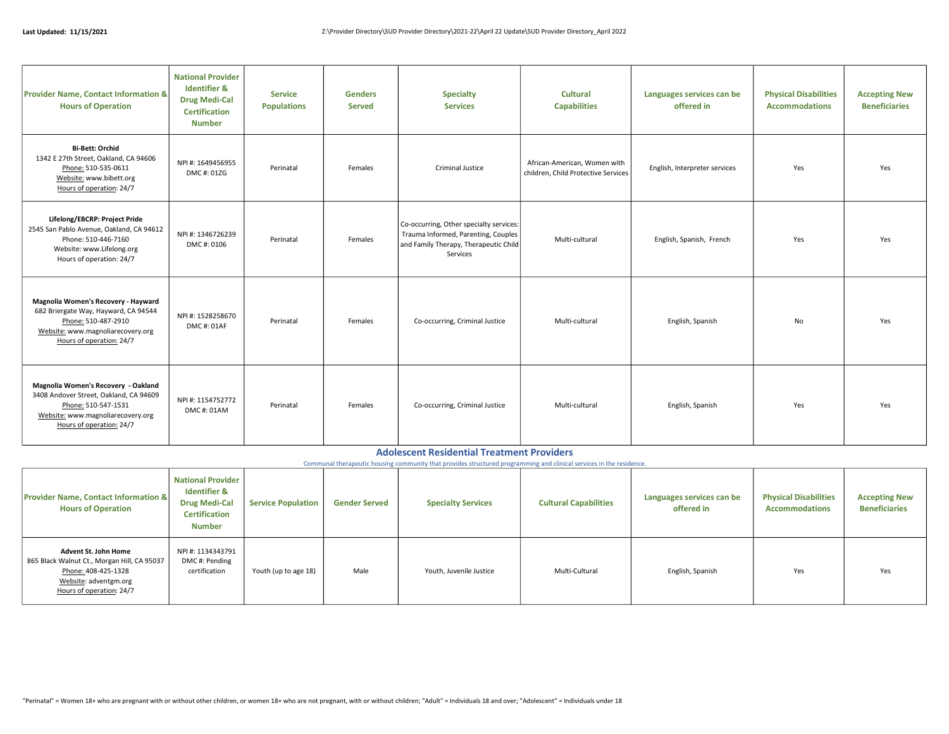| <b>Provider Name, Contact Information &amp;</b><br><b>Hours of Operation</b>                                                                                          | <b>National Provider</b><br><b>Identifier &amp;</b><br><b>Drug Medi-Cal</b><br><b>Certification</b><br><b>Number</b> | <b>Service</b><br><b>Populations</b> | <b>Genders</b><br><b>Served</b> | <b>Specialty</b><br><b>Services</b>                                                                                                 | <b>Cultural</b><br><b>Capabilities</b>                              | Languages services can be<br>offered in | <b>Physical Disabilities</b><br><b>Accommodations</b> | <b>Accepting New</b><br><b>Beneficiaries</b> |
|-----------------------------------------------------------------------------------------------------------------------------------------------------------------------|----------------------------------------------------------------------------------------------------------------------|--------------------------------------|---------------------------------|-------------------------------------------------------------------------------------------------------------------------------------|---------------------------------------------------------------------|-----------------------------------------|-------------------------------------------------------|----------------------------------------------|
| <b>Bi-Bett: Orchid</b><br>1342 E 27th Street, Oakland, CA 94606<br>Phone: 510-535-0611<br>Website: www.bibett.org<br>Hours of operation: 24/7                         | NPI#: 1649456955<br>DMC#: 01ZG                                                                                       | Perinatal                            | Females                         | Criminal Justice                                                                                                                    | African-American, Women with<br>children, Child Protective Services | English, Interpreter services           | Yes                                                   | Yes                                          |
| Lifelong/EBCRP: Project Pride<br>2545 San Pablo Avenue, Oakland, CA 94612<br>Phone: 510-446-7160<br>Website: www.Lifelong.org<br>Hours of operation: 24/7             | NPI #: 1346726239<br>DMC#: 0106                                                                                      | Perinatal                            | Females                         | Co-occurring, Other specialty services:<br>Trauma Informed, Parenting, Couples<br>and Family Therapy, Therapeutic Child<br>Services | Multi-cultural                                                      | English, Spanish, French                | Yes                                                   | Yes                                          |
| Magnolia Women's Recovery - Hayward<br>682 Briergate Way, Hayward, CA 94544<br>Phone: 510-487-2910<br>Website: www.magnoliarecovery.org<br>Hours of operation: 24/7   | NPI #: 1528258670<br>DMC#: 01AF                                                                                      | Perinatal                            | Females                         | Co-occurring, Criminal Justice                                                                                                      | Multi-cultural                                                      | English, Spanish                        | No                                                    | Yes                                          |
| Magnolia Women's Recovery - Oakland<br>3408 Andover Street, Oakland, CA 94609<br>Phone: 510-547-1531<br>Website: www.magnoliarecovery.org<br>Hours of operation: 24/7 | NPI #: 1154752772<br>DMC#: 01AM                                                                                      | Perinatal                            | Females                         | Co-occurring, Criminal Justice                                                                                                      | Multi-cultural                                                      | English, Spanish                        | Yes                                                   | Yes                                          |

#### Adolescent Residential Treatment Providers

Communal therapeutic housing community that provides structured programming and clinical services in the residence.

| <b>Provider Name, Contact Information &amp;</b><br><b>Hours of Operation</b>                                                                           | <b>National Provider</b><br><b>Identifier &amp;</b><br><b>Drug Medi-Cal</b><br><b>Certification</b><br><b>Number</b> | <b>Service Population</b> | <b>Gender Served</b> | <b>Specialty Services</b> | <b>Cultural Capabilities</b> | Languages services can be<br>offered in | <b>Physical Disabilities</b><br><b>Accommodations</b> | <b>Accepting New</b><br><b>Beneficiaries</b> |
|--------------------------------------------------------------------------------------------------------------------------------------------------------|----------------------------------------------------------------------------------------------------------------------|---------------------------|----------------------|---------------------------|------------------------------|-----------------------------------------|-------------------------------------------------------|----------------------------------------------|
| <b>Advent St. John Home</b><br>865 Black Walnut Ct., Morgan Hill, CA 95037<br>Phone: 408-425-1328<br>Website: adventgm.org<br>Hours of operation: 24/7 | NPI #: 1134343791<br>DMC#: Pending<br>certification                                                                  | Youth (up to age 18)      | Male                 | Youth, Juvenile Justice   | Multi-Cultural               | English, Spanish                        | Yes                                                   | Yes                                          |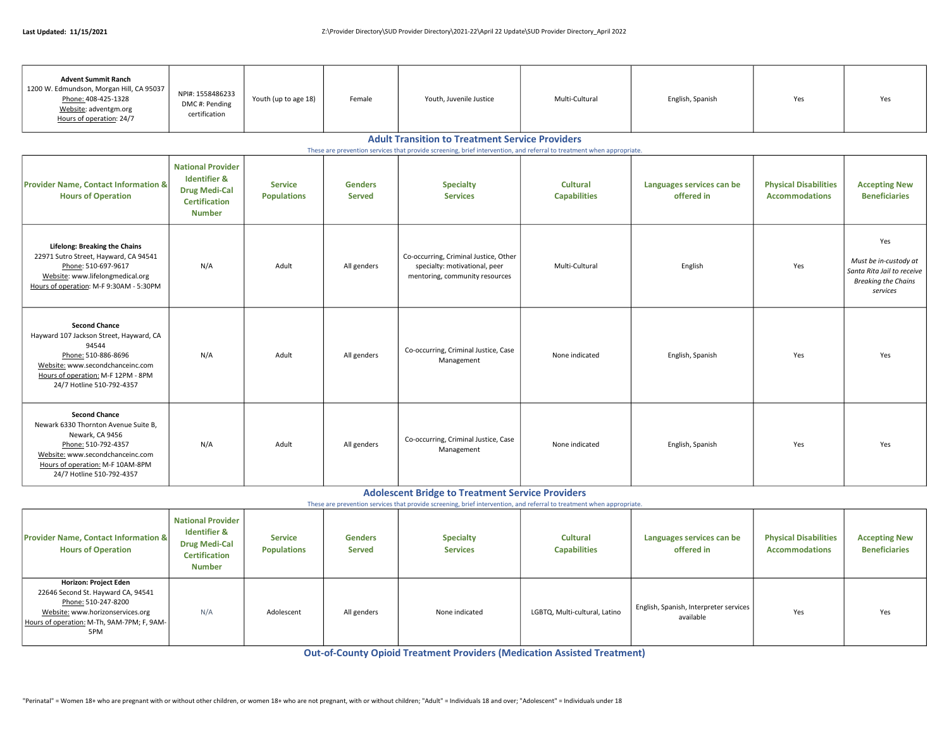| <b>Advent Summit Ranch</b><br>1200 W. Edmundson, Morgan Hill, CA 95037<br>Phone: 408-425-1328<br>Website: adventgm.org<br>Hours of operation: 24/7                                                          | NPI#: 1558486233<br>DMC#: Pending<br>certification                                                                                                                              | Youth (up to age 18)                 | Female                          | Youth, Juvenile Justice                                                                                  | Multi-Cultural                         | English, Spanish                        | Yes                                                   | Yes                                                                                                  |  |  |  |  |
|-------------------------------------------------------------------------------------------------------------------------------------------------------------------------------------------------------------|---------------------------------------------------------------------------------------------------------------------------------------------------------------------------------|--------------------------------------|---------------------------------|----------------------------------------------------------------------------------------------------------|----------------------------------------|-----------------------------------------|-------------------------------------------------------|------------------------------------------------------------------------------------------------------|--|--|--|--|
|                                                                                                                                                                                                             | <b>Adult Transition to Treatment Service Providers</b><br>These are prevention services that provide screening, brief intervention, and referral to treatment when appropriate. |                                      |                                 |                                                                                                          |                                        |                                         |                                                       |                                                                                                      |  |  |  |  |
| <b>Provider Name, Contact Information &amp;</b><br><b>Hours of Operation</b>                                                                                                                                | <b>National Provider</b><br><b>Identifier &amp;</b><br><b>Drug Medi-Cal</b><br><b>Certification</b><br><b>Number</b>                                                            | <b>Service</b><br><b>Populations</b> | <b>Genders</b><br><b>Served</b> | <b>Specialty</b><br><b>Services</b>                                                                      | <b>Cultural</b><br><b>Capabilities</b> | Languages services can be<br>offered in | <b>Physical Disabilities</b><br><b>Accommodations</b> | <b>Accepting New</b><br><b>Beneficiaries</b>                                                         |  |  |  |  |
| <b>Lifelong: Breaking the Chains</b><br>22971 Sutro Street, Hayward, CA 94541<br>Phone: 510-697-9617<br>Website: www.lifelongmedical.org<br>Hours of operation: M-F 9:30AM - 5:30PM                         | N/A                                                                                                                                                                             | Adult                                | All genders                     | Co-occurring, Criminal Justice, Other<br>specialty: motivational, peer<br>mentoring, community resources | Multi-Cultural                         | English                                 | Yes                                                   | Yes<br>Must be in-custody at<br>Santa Rita Jail to receive<br><b>Breaking the Chains</b><br>services |  |  |  |  |
| <b>Second Chance</b><br>Hayward 107 Jackson Street, Hayward, CA<br>94544<br>Phone: 510-886-8696<br>Website: www.secondchanceinc.com<br>Hours of operation: M-F 12PM - 8PM<br>24/7 Hotline 510-792-4357      | N/A                                                                                                                                                                             | Adult                                | All genders                     | Co-occurring, Criminal Justice, Case<br>Management                                                       | None indicated                         | English, Spanish                        | Yes                                                   | Yes                                                                                                  |  |  |  |  |
| <b>Second Chance</b><br>Newark 6330 Thornton Avenue Suite B,<br>Newark, CA 9456<br>Phone: 510-792-4357<br>Website: www.secondchanceinc.com<br>Hours of operation: M-F 10AM-8PM<br>24/7 Hotline 510-792-4357 | N/A                                                                                                                                                                             | Adult                                | All genders                     | Co-occurring, Criminal Justice, Case<br>Management                                                       | None indicated                         | English, Spanish                        | Yes                                                   | Yes                                                                                                  |  |  |  |  |

### Adolescent Bridge to Treatment Service Providers

These are prevention services that provide screening, brief intervention, and referral to treatment when appropriate.

| <b>Provider Name, Contact Information &amp;</b><br><b>Hours of Operation</b>                                                                                                | <b>National Provider</b><br><b>Identifier &amp;</b><br><b>Drug Medi-Cal</b><br><b>Certification</b><br><b>Number</b> | <b>Service</b><br><b>Populations</b> | <b>Genders</b><br><b>Served</b> | <b>Specialty</b><br><b>Services</b> | <b>Cultural</b><br><b>Capabilities</b> | Languages services can be<br>offered in             | <b>Physical Disabilities</b><br><b>Accommodations</b> | <b>Accepting New</b><br><b>Beneficiaries</b> |
|-----------------------------------------------------------------------------------------------------------------------------------------------------------------------------|----------------------------------------------------------------------------------------------------------------------|--------------------------------------|---------------------------------|-------------------------------------|----------------------------------------|-----------------------------------------------------|-------------------------------------------------------|----------------------------------------------|
| Horizon: Project Eden<br>22646 Second St. Hayward CA, 94541<br>Phone: 510-247-8200<br>Website: www.horizonservices.org<br>Hours of operation: M-Th, 9AM-7PM; F, 9AM-<br>5PM | N/A                                                                                                                  | Adolescent                           | All genders                     | None indicated                      | LGBTQ, Multi-cultural, Latino          | English, Spanish, Interpreter services<br>available | Yes                                                   | Yes                                          |

Out-of-County Opioid Treatment Providers (Medication Assisted Treatment)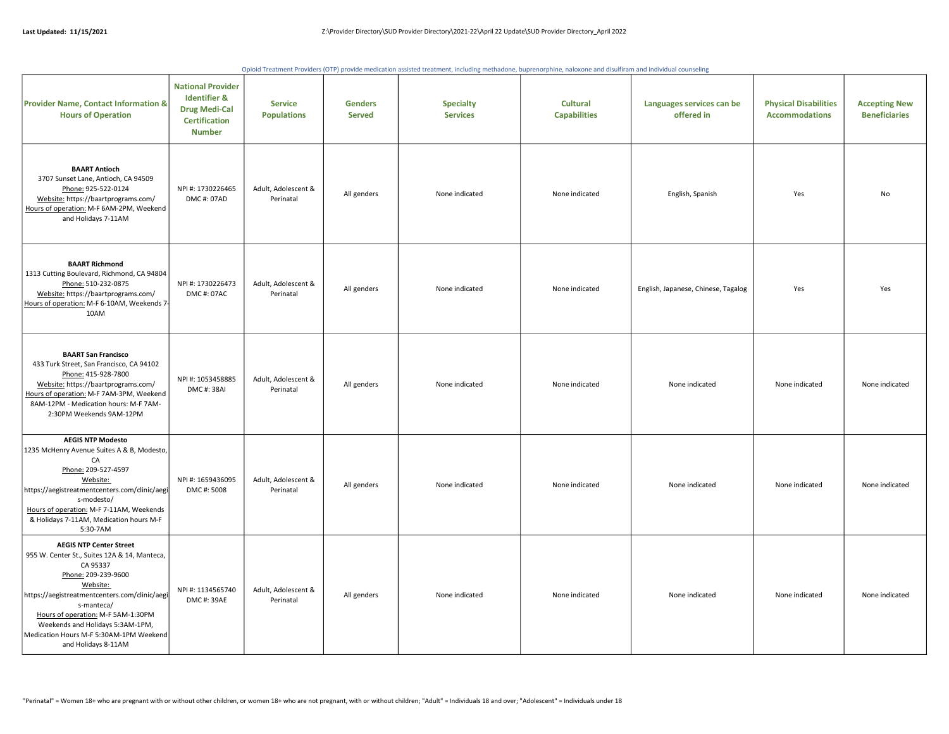Opioid Treatment Providers (OTP) provide medication assisted treatment, including methadone, buprenorphine, naloxone and disulfiram and individual counseling

| <b>Provider Name, Contact Information &amp;</b><br><b>Hours of Operation</b>                                                                                                                                                                                                                                                             | <b>National Provider</b><br><b>Identifier &amp;</b><br><b>Drug Medi-Cal</b><br><b>Certification</b><br><b>Number</b> | <b>Service</b><br><b>Populations</b> | <b>Genders</b><br><b>Served</b> | <b>Specialty</b><br><b>Services</b> | <b>Cultural</b><br><b>Capabilities</b> | Languages services can be<br>offered in | <b>Physical Disabilities</b><br><b>Accommodations</b> | <b>Accepting New</b><br><b>Beneficiaries</b> |
|------------------------------------------------------------------------------------------------------------------------------------------------------------------------------------------------------------------------------------------------------------------------------------------------------------------------------------------|----------------------------------------------------------------------------------------------------------------------|--------------------------------------|---------------------------------|-------------------------------------|----------------------------------------|-----------------------------------------|-------------------------------------------------------|----------------------------------------------|
| <b>BAART Antioch</b><br>3707 Sunset Lane, Antioch, CA 94509<br>Phone: 925-522-0124<br>Website: https://baartprograms.com/<br>Hours of operation: M-F 6AM-2PM, Weekend<br>and Holidays 7-11AM                                                                                                                                             | NPI #: 1730226465<br>DMC#: 07AD                                                                                      | Adult, Adolescent &<br>Perinatal     | All genders                     | None indicated                      | None indicated                         | English, Spanish                        | Yes                                                   | <b>No</b>                                    |
| <b>BAART Richmond</b><br>1313 Cutting Boulevard, Richmond, CA 94804<br>Phone: 510-232-0875<br>Website: https://baartprograms.com/<br>Hours of operation: M-F 6-10AM, Weekends 7-<br>10AM                                                                                                                                                 | NPI #: 1730226473<br>DMC#: 07AC                                                                                      | Adult, Adolescent &<br>Perinatal     | All genders                     | None indicated                      | None indicated                         | English, Japanese, Chinese, Tagalog     | Yes                                                   | Yes                                          |
| <b>BAART San Francisco</b><br>433 Turk Street, San Francisco, CA 94102<br>Phone: 415-928-7800<br>Website: https://baartprograms.com/<br>Hours of operation: M-F 7AM-3PM, Weekend<br>8AM-12PM - Medication hours: M-F 7AM-<br>2:30PM Weekends 9AM-12PM                                                                                    | NPI #: 1053458885<br>DMC#: 38AI                                                                                      | Adult, Adolescent &<br>Perinatal     | All genders                     | None indicated                      | None indicated                         | None indicated                          | None indicated                                        | None indicated                               |
| <b>AEGIS NTP Modesto</b><br>1235 McHenry Avenue Suites A & B, Modesto,<br>CA<br>Phone: 209-527-4597<br>Website:<br>https://aegistreatmentcenters.com/clinic/aegi<br>s-modesto/<br>Hours of operation: M-F 7-11AM, Weekends<br>& Holidays 7-11AM, Medication hours M-F<br>5:30-7AM                                                        | NPI #: 1659436095<br>DMC#: 5008                                                                                      | Adult, Adolescent &<br>Perinatal     | All genders                     | None indicated                      | None indicated                         | None indicated                          | None indicated                                        | None indicated                               |
| <b>AEGIS NTP Center Street</b><br>955 W. Center St., Suites 12A & 14, Manteca,<br>CA 95337<br>Phone: 209-239-9600<br>Website:<br>https://aegistreatmentcenters.com/clinic/aegi<br>s-manteca/<br>Hours of operation: M-F 5AM-1:30PM<br>Weekends and Holidays 5:3AM-1PM,<br>Medication Hours M-F 5:30AM-1PM Weekend<br>and Holidays 8-11AM | NPI #: 1134565740<br>DMC#: 39AE                                                                                      | Adult, Adolescent &<br>Perinatal     | All genders                     | None indicated                      | None indicated                         | None indicated                          | None indicated                                        | None indicated                               |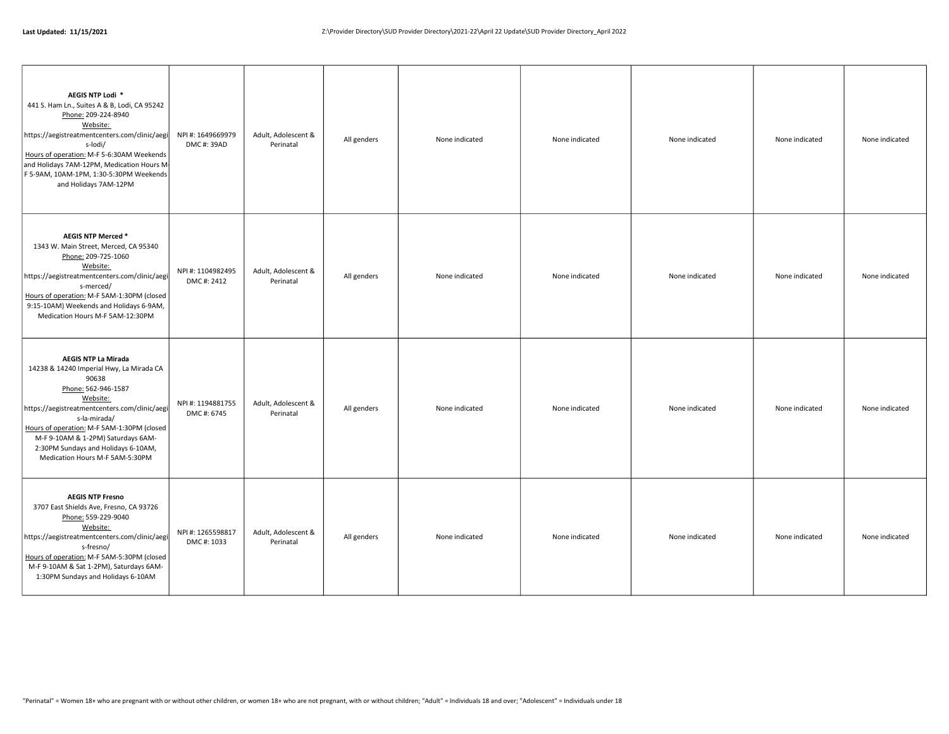| AEGIS NTP Lodi *<br>441 S. Ham Ln., Suites A & B, Lodi, CA 95242<br>Phone: 209-224-8940<br>Website:<br>https://aegistreatmentcenters.com/clinic/aegi<br>s-lodi/<br>Hours of operation: M-F 5-6:30AM Weekends<br>and Holidays 7AM-12PM, Medication Hours M<br>F 5-9AM, 10AM-1PM, 1:30-5:30PM Weekends<br>and Holidays 7AM-12PM                     | NPI #: 1649669979<br>DMC#: 39AD | Adult, Adolescent &<br>Perinatal | All genders | None indicated | None indicated | None indicated | None indicated | None indicated |
|---------------------------------------------------------------------------------------------------------------------------------------------------------------------------------------------------------------------------------------------------------------------------------------------------------------------------------------------------|---------------------------------|----------------------------------|-------------|----------------|----------------|----------------|----------------|----------------|
| AEGIS NTP Merced *<br>1343 W. Main Street, Merced, CA 95340<br>Phone: 209-725-1060<br>Website:<br>https://aegistreatmentcenters.com/clinic/aegi<br>s-merced/<br>Hours of operation: M-F 5AM-1:30PM (closed<br>9:15-10AM) Weekends and Holidays 6-9AM,<br>Medication Hours M-F 5AM-12:30PM                                                         | NPI #: 1104982495<br>DMC#: 2412 | Adult, Adolescent &<br>Perinatal | All genders | None indicated | None indicated | None indicated | None indicated | None indicated |
| <b>AEGIS NTP La Mirada</b><br>14238 & 14240 Imperial Hwy, La Mirada CA<br>90638<br>Phone: 562-946-1587<br>Website:<br>https://aegistreatmentcenters.com/clinic/aegi<br>s-la-mirada/<br>Hours of operation: M-F 5AM-1:30PM (closed<br>M-F 9-10AM & 1-2PM) Saturdays 6AM-<br>2:30PM Sundays and Holidays 6-10AM,<br>Medication Hours M-F 5AM-5:30PM | NPI #: 1194881755<br>DMC#: 6745 | Adult, Adolescent &<br>Perinatal | All genders | None indicated | None indicated | None indicated | None indicated | None indicated |
| <b>AEGIS NTP Fresno</b><br>3707 East Shields Ave, Fresno, CA 93726<br>Phone: 559-229-9040<br>Website:<br>https://aegistreatmentcenters.com/clinic/aegi<br>s-fresno/<br>Hours of operation: M-F 5AM-5:30PM (closed<br>M-F 9-10AM & Sat 1-2PM), Saturdays 6AM-<br>1:30PM Sundays and Holidays 6-10AM                                                | NPI #: 1265598817<br>DMC#: 1033 | Adult, Adolescent &<br>Perinatal | All genders | None indicated | None indicated | None indicated | None indicated | None indicated |